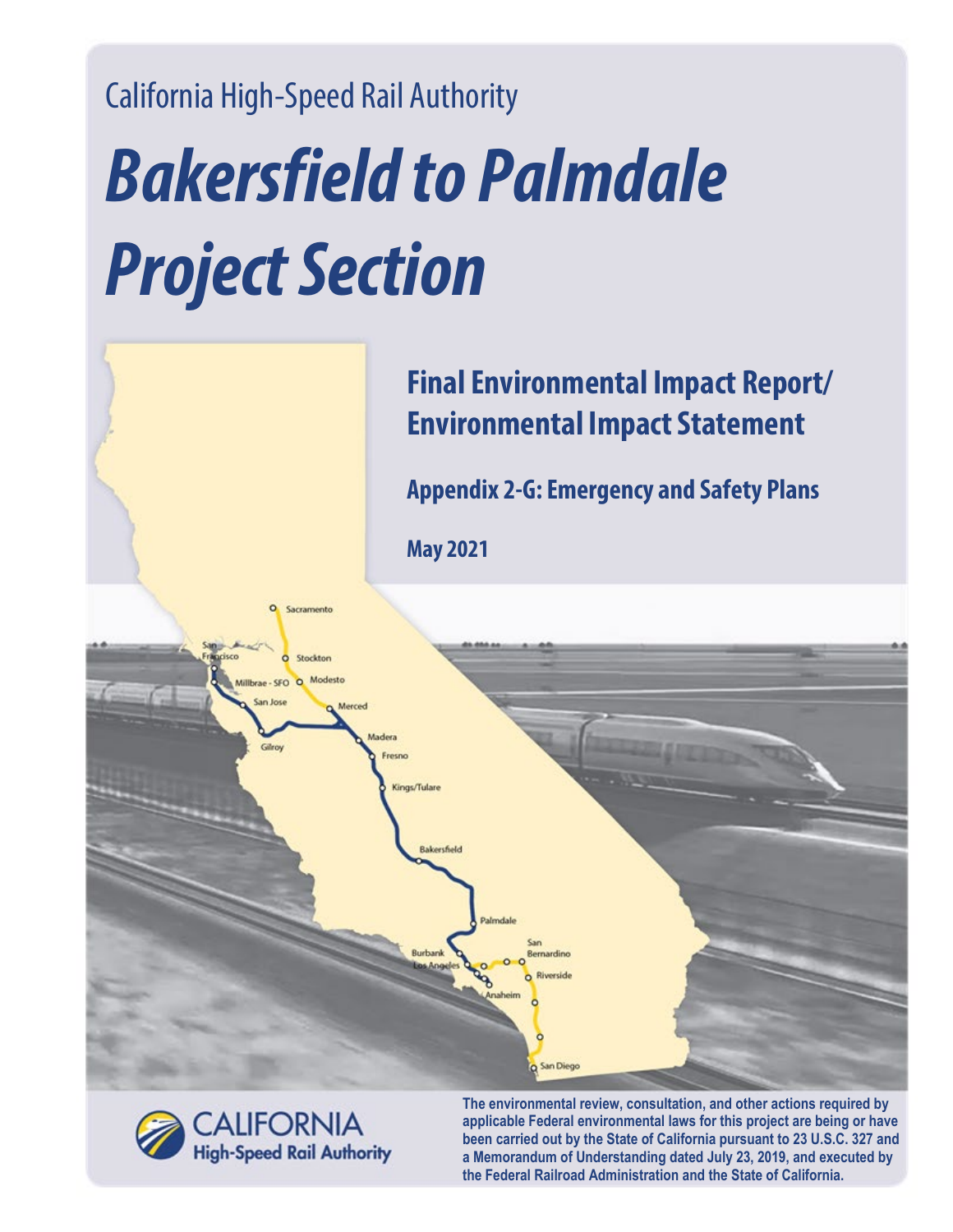## California High-Speed Rail Authority

Sacramento

Stockton

ladora

Kings/Tular

akersfield

Burbani

almdale

San

Bernardino Riverside

San Diego

## *Bakersfield to Palmdale Project Section*

## **Final Environmental Impact Report/ Environmental Impact Statement**

**Appendix 2-G: Emergency and Safety Plans** 

**May 2021** 



**The environmental review, consultation, and other actions required by applicable Federal environmental laws for this project are being or have been carried out by the State of California pursuant to 23 U.S.C. 327 and a Memorandum of Understanding dated July 23, 2019, and executed by the Federal Railroad Administration and the State of California.**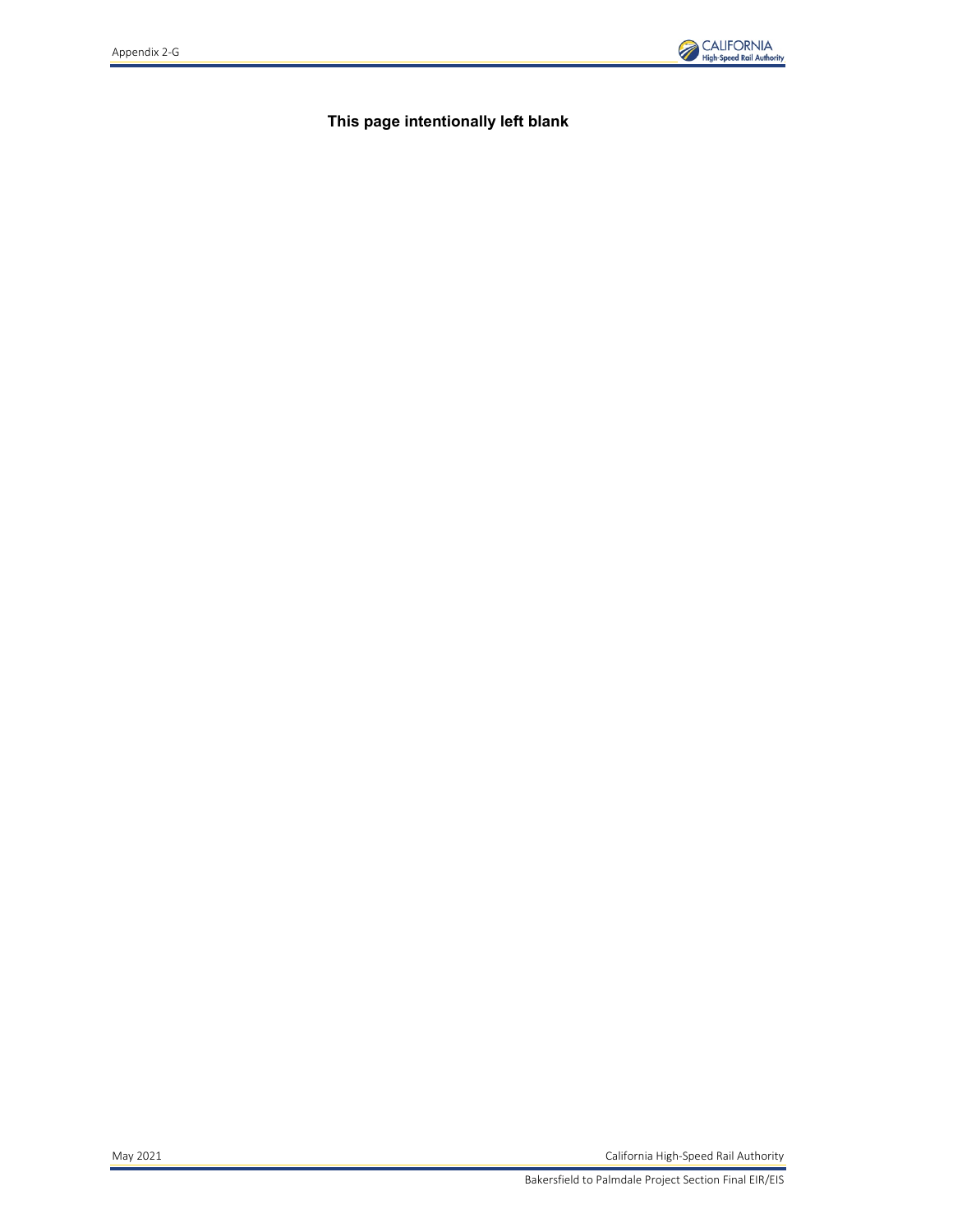

**This page intentionally left blank** 

May 2021 California High-Speed Rail Authority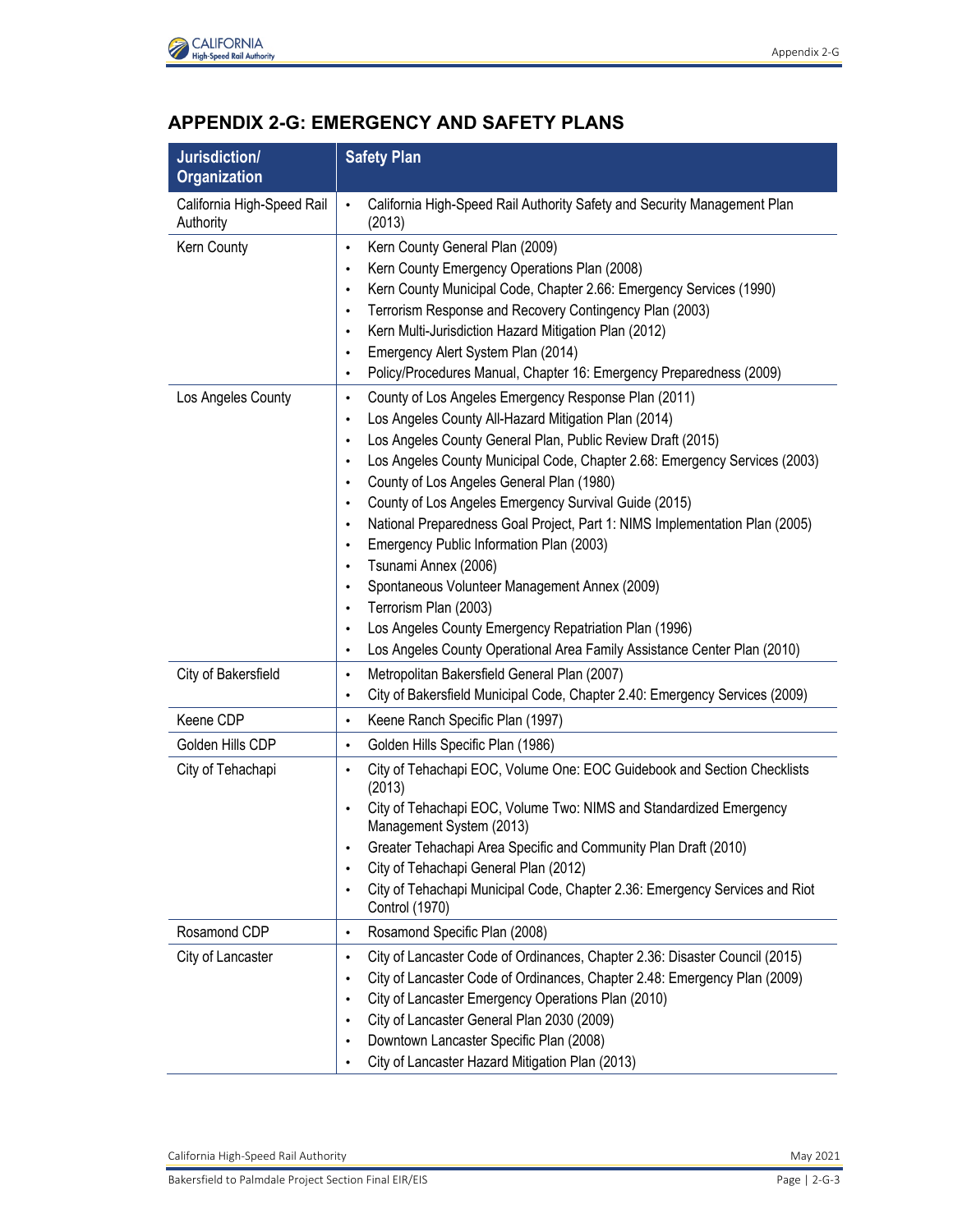

## **APPENDIX 2-G: EMERGENCY AND SAFETY PLANS**

| Jurisdiction/<br><b>Organization</b>    | <b>Safety Plan</b>                                                                                                                                                                                                                                                                                                                                                                                                                                                                                                                                                                                                                                                                                                                                                                                                                                                                                         |
|-----------------------------------------|------------------------------------------------------------------------------------------------------------------------------------------------------------------------------------------------------------------------------------------------------------------------------------------------------------------------------------------------------------------------------------------------------------------------------------------------------------------------------------------------------------------------------------------------------------------------------------------------------------------------------------------------------------------------------------------------------------------------------------------------------------------------------------------------------------------------------------------------------------------------------------------------------------|
| California High-Speed Rail<br>Authority | California High-Speed Rail Authority Safety and Security Management Plan<br>$\bullet$<br>(2013)                                                                                                                                                                                                                                                                                                                                                                                                                                                                                                                                                                                                                                                                                                                                                                                                            |
| Kern County                             | Kern County General Plan (2009)<br>$\bullet$<br>Kern County Emergency Operations Plan (2008)<br>$\bullet$<br>Kern County Municipal Code, Chapter 2.66: Emergency Services (1990)<br>$\bullet$<br>Terrorism Response and Recovery Contingency Plan (2003)<br>$\bullet$<br>Kern Multi-Jurisdiction Hazard Mitigation Plan (2012)<br>$\bullet$<br>Emergency Alert System Plan (2014)<br>$\bullet$<br>Policy/Procedures Manual, Chapter 16: Emergency Preparedness (2009)<br>$\bullet$                                                                                                                                                                                                                                                                                                                                                                                                                         |
| Los Angeles County                      | County of Los Angeles Emergency Response Plan (2011)<br>$\bullet$<br>Los Angeles County All-Hazard Mitigation Plan (2014)<br>$\bullet$<br>Los Angeles County General Plan, Public Review Draft (2015)<br>$\bullet$<br>Los Angeles County Municipal Code, Chapter 2.68: Emergency Services (2003)<br>$\bullet$<br>County of Los Angeles General Plan (1980)<br>$\bullet$<br>County of Los Angeles Emergency Survival Guide (2015)<br>$\bullet$<br>National Preparedness Goal Project, Part 1: NIMS Implementation Plan (2005)<br>$\bullet$<br>Emergency Public Information Plan (2003)<br>$\bullet$<br>Tsunami Annex (2006)<br>$\bullet$<br>Spontaneous Volunteer Management Annex (2009)<br>$\bullet$<br>Terrorism Plan (2003)<br>$\bullet$<br>Los Angeles County Emergency Repatriation Plan (1996)<br>$\bullet$<br>Los Angeles County Operational Area Family Assistance Center Plan (2010)<br>$\bullet$ |
| City of Bakersfield                     | Metropolitan Bakersfield General Plan (2007)<br>$\bullet$<br>City of Bakersfield Municipal Code, Chapter 2.40: Emergency Services (2009)<br>$\bullet$                                                                                                                                                                                                                                                                                                                                                                                                                                                                                                                                                                                                                                                                                                                                                      |
| Keene CDP                               | Keene Ranch Specific Plan (1997)<br>$\bullet$                                                                                                                                                                                                                                                                                                                                                                                                                                                                                                                                                                                                                                                                                                                                                                                                                                                              |
| Golden Hills CDP                        | Golden Hills Specific Plan (1986)<br>$\bullet$                                                                                                                                                                                                                                                                                                                                                                                                                                                                                                                                                                                                                                                                                                                                                                                                                                                             |
| City of Tehachapi                       | City of Tehachapi EOC, Volume One: EOC Guidebook and Section Checklists<br>$\bullet$<br>(2013)<br>City of Tehachapi EOC, Volume Two: NIMS and Standardized Emergency<br>Management System (2013)<br>Greater Tehachapi Area Specific and Community Plan Draft (2010)<br>City of Tehachapi General Plan (2012)<br>٠<br>City of Tehachapi Municipal Code, Chapter 2.36: Emergency Services and Riot<br>$\bullet$<br>Control (1970)                                                                                                                                                                                                                                                                                                                                                                                                                                                                            |
| Rosamond CDP                            | Rosamond Specific Plan (2008)<br>$\bullet$                                                                                                                                                                                                                                                                                                                                                                                                                                                                                                                                                                                                                                                                                                                                                                                                                                                                 |
| City of Lancaster                       | City of Lancaster Code of Ordinances, Chapter 2.36: Disaster Council (2015)<br>$\bullet$<br>City of Lancaster Code of Ordinances, Chapter 2.48: Emergency Plan (2009)<br>$\bullet$<br>City of Lancaster Emergency Operations Plan (2010)<br>$\bullet$<br>City of Lancaster General Plan 2030 (2009)<br>$\bullet$<br>Downtown Lancaster Specific Plan (2008)<br>$\bullet$<br>City of Lancaster Hazard Mitigation Plan (2013)<br>$\bullet$                                                                                                                                                                                                                                                                                                                                                                                                                                                                   |